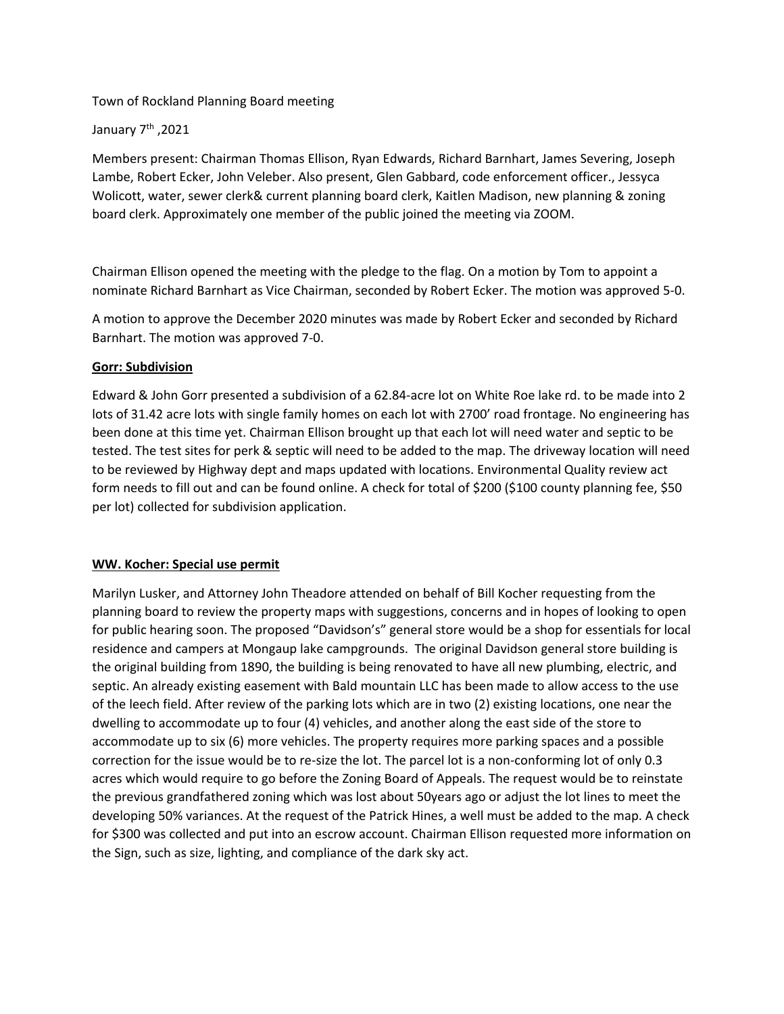## Town of Rockland Planning Board meeting

## January 7<sup>th</sup>, 2021

Members present: Chairman Thomas Ellison, Ryan Edwards, Richard Barnhart, James Severing, Joseph Lambe, Robert Ecker, John Veleber. Also present, Glen Gabbard, code enforcement officer., Jessyca Wolicott, water, sewer clerk& current planning board clerk, Kaitlen Madison, new planning & zoning board clerk. Approximately one member of the public joined the meeting via ZOOM.

Chairman Ellison opened the meeting with the pledge to the flag. On a motion by Tom to appoint a nominate Richard Barnhart as Vice Chairman, seconded by Robert Ecker. The motion was approved 5-0.

A motion to approve the December 2020 minutes was made by Robert Ecker and seconded by Richard Barnhart. The motion was approved 7-0.

#### **Gorr: Subdivision**

Edward & John Gorr presented a subdivision of a 62.84-acre lot on White Roe lake rd. to be made into 2 lots of 31.42 acre lots with single family homes on each lot with 2700' road frontage. No engineering has been done at this time yet. Chairman Ellison brought up that each lot will need water and septic to be tested. The test sites for perk & septic will need to be added to the map. The driveway location will need to be reviewed by Highway dept and maps updated with locations. Environmental Quality review act form needs to fill out and can be found online. A check for total of \$200 (\$100 county planning fee, \$50 per lot) collected for subdivision application.

## **WW. Kocher: Special use permit**

Marilyn Lusker, and Attorney John Theadore attended on behalf of Bill Kocher requesting from the planning board to review the property maps with suggestions, concerns and in hopes of looking to open for public hearing soon. The proposed "Davidson's" general store would be a shop for essentials for local residence and campers at Mongaup lake campgrounds. The original Davidson general store building is the original building from 1890, the building is being renovated to have all new plumbing, electric, and septic. An already existing easement with Bald mountain LLC has been made to allow access to the use of the leech field. After review of the parking lots which are in two (2) existing locations, one near the dwelling to accommodate up to four (4) vehicles, and another along the east side of the store to accommodate up to six (6) more vehicles. The property requires more parking spaces and a possible correction for the issue would be to re-size the lot. The parcel lot is a non-conforming lot of only 0.3 acres which would require to go before the Zoning Board of Appeals. The request would be to reinstate the previous grandfathered zoning which was lost about 50years ago or adjust the lot lines to meet the developing 50% variances. At the request of the Patrick Hines, a well must be added to the map. A check for \$300 was collected and put into an escrow account. Chairman Ellison requested more information on the Sign, such as size, lighting, and compliance of the dark sky act.